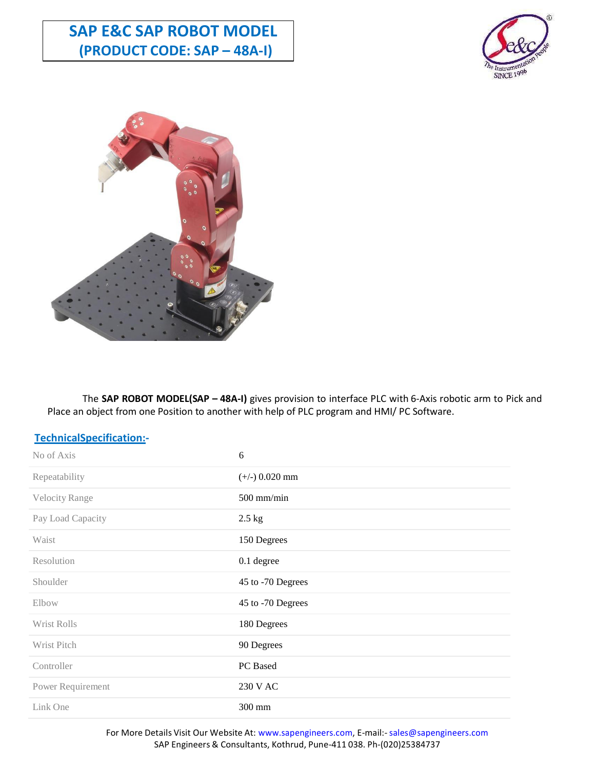# **SAP E&C SAP ROBOT MODEL (PRODUCT CODE: SAP – 48A-I)**





The **SAP ROBOT MODEL(SAP – 48A-I)** gives provision to interface PLC with 6-Axis robotic arm to Pick and Place an object from one Position to another with help of PLC program and HMI/ PC Software.

| TechnicalSpecification:- |                   |
|--------------------------|-------------------|
| No of Axis               | 6                 |
| Repeatability            | $(+/-)$ 0.020 mm  |
| Velocity Range           | $500$ mm/min      |
| Pay Load Capacity        | $2.5$ kg          |
| Waist                    | 150 Degrees       |
| Resolution               | 0.1 degree        |
| Shoulder                 | 45 to -70 Degrees |
| Elbow                    | 45 to -70 Degrees |
| Wrist Rolls              | 180 Degrees       |
| Wrist Pitch              | 90 Degrees        |
| Controller               | PC Based          |
| Power Requirement        | 230 V AC          |
| Link One                 | 300 mm            |

For More Details Visit Our Website At: www.sapengineers.com, E-mail:- sales@sapengineers.com SAP Engineers & Consultants, Kothrud, Pune-411 038. Ph-(020)25384737